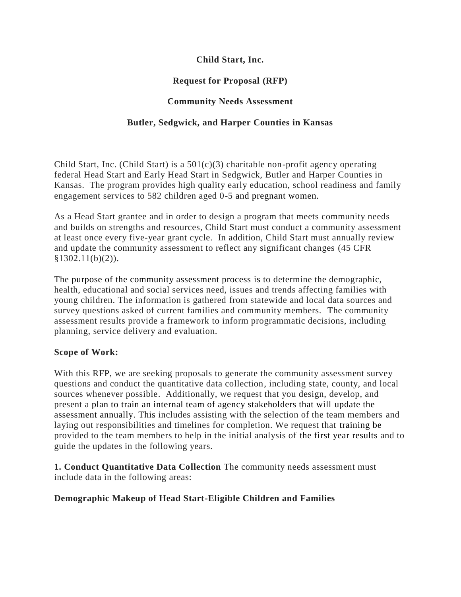### **Child Start, Inc.**

# **Request for Proposal (RFP)**

### **Community Needs Assessment**

### **Butler, Sedgwick, and Harper Counties in Kansas**

Child Start, Inc. (Child Start) is a  $501(c)(3)$  charitable non-profit agency operating federal Head Start and Early Head Start in Sedgwick, Butler and Harper Counties in Kansas. The program provides high quality early education, school readiness and family engagement services to 582 children aged 0-5 and pregnant women.

As a Head Start grantee and in order to design a program that meets community needs and builds on strengths and resources, Child Start must conduct a community assessment at least once every five-year grant cycle. In addition, Child Start must annually review and update the community assessment to reflect any significant changes (45 CFR  $§1302.11(b)(2)$ ).

The purpose of the community assessment process is to determine the demographic, health, educational and social services need, issues and trends affecting families with young children. The information is gathered from statewide and local data sources and survey questions asked of current families and community members. The community assessment results provide a framework to inform programmatic decisions, including planning, service delivery and evaluation.

#### **Scope of Work:**

With this RFP, we are seeking proposals to generate the community assessment survey questions and conduct the quantitative data collection, including state, county, and local sources whenever possible. Additionally, we request that you design, develop, and present a plan to train an internal team of agency stakeholders that will update the assessment annually. This includes assisting with the selection of the team members and laying out responsibilities and timelines for completion. We request that training be provided to the team members to help in the initial analysis of the first year results and to guide the updates in the following years.

**1. Conduct Quantitative Data Collection** The community needs assessment must include data in the following areas:

### **Demographic Makeup of Head Start-Eligible Children and Families**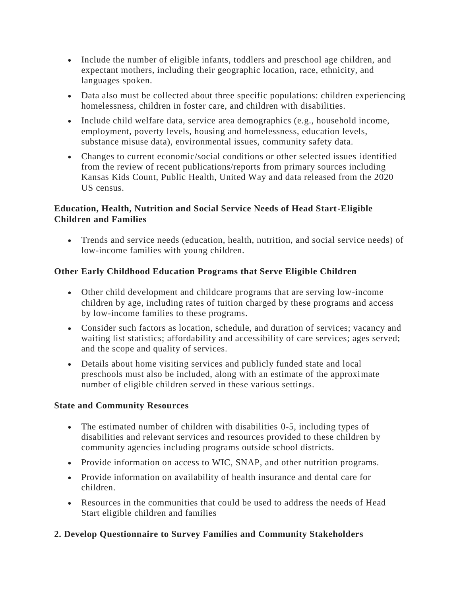- Include the number of eligible infants, toddlers and preschool age children, and expectant mothers, including their geographic location, race, ethnicity, and languages spoken.
- Data also must be collected about three specific populations: children experiencing homelessness, children in foster care, and children with disabilities.
- Include child welfare data, service area demographics (e.g., household income, employment, poverty levels, housing and homelessness, education levels, substance misuse data), environmental issues, community safety data.
- Changes to current economic/social conditions or other selected issues identified from the review of recent publications/reports from primary sources including Kansas Kids Count, Public Health, United Way and data released from the 2020 US census.

### **Education, Health, Nutrition and Social Service Needs of Head Start-Eligible Children and Families**

• Trends and service needs (education, health, nutrition, and social service needs) of low-income families with young children.

# **Other Early Childhood Education Programs that Serve Eligible Children**

- Other child development and childcare programs that are serving low-income children by age, including rates of tuition charged by these programs and access by low-income families to these programs.
- Consider such factors as location, schedule, and duration of services; vacancy and waiting list statistics; affordability and accessibility of care services; ages served; and the scope and quality of services.
- Details about home visiting services and publicly funded state and local preschools must also be included, along with an estimate of the approximate number of eligible children served in these various settings.

### **State and Community Resources**

- The estimated number of children with disabilities 0-5, including types of disabilities and relevant services and resources provided to these children by community agencies including programs outside school districts.
- Provide information on access to WIC, SNAP, and other nutrition programs.
- Provide information on availability of health insurance and dental care for children.
- Resources in the communities that could be used to address the needs of Head Start eligible children and families

# **2. Develop Questionnaire to Survey Families and Community Stakeholders**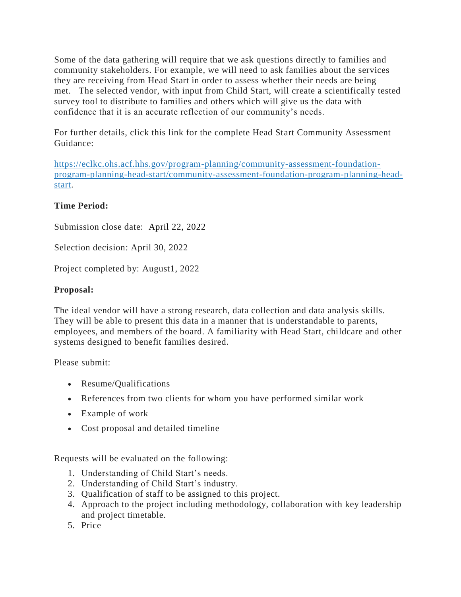Some of the data gathering will require that we ask questions directly to families and community stakeholders. For example, we will need to ask families about the services they are receiving from Head Start in order to assess whether their needs are being met. The selected vendor, with input from Child Start, will create a scientifically tested survey tool to distribute to families and others which will give us the data with confidence that it is an accurate reflection of our community's needs.

For further details, click this link for the complete Head Start Community Assessment Guidance:

[https://eclkc.ohs.acf.hhs.gov/program-planning/community-assessment-foundation](https://eclkc.ohs.acf.hhs.gov/program-planning/community-assessment-foundation-program-planning-head-start/community-assessment-foundation-program-planning-head-start)[program-planning-head-start/community-assessment-foundation-program-planning-head](https://eclkc.ohs.acf.hhs.gov/program-planning/community-assessment-foundation-program-planning-head-start/community-assessment-foundation-program-planning-head-start)[start.](https://eclkc.ohs.acf.hhs.gov/program-planning/community-assessment-foundation-program-planning-head-start/community-assessment-foundation-program-planning-head-start)

# **Time Period:**

Submission close date: April 22, 2022

Selection decision: April 30, 2022

Project completed by: August1, 2022

# **Proposal:**

The ideal vendor will have a strong research, data collection and data analysis skills. They will be able to present this data in a manner that is understandable to parents, employees, and members of the board. A familiarity with Head Start, childcare and other systems designed to benefit families desired.

Please submit:

- Resume/Qualifications
- References from two clients for whom you have performed similar work
- Example of work
- Cost proposal and detailed timeline

Requests will be evaluated on the following:

- 1. Understanding of Child Start's needs.
- 2. Understanding of Child Start's industry.
- 3. Qualification of staff to be assigned to this project.
- 4. Approach to the project including methodology, collaboration with key leadership and project timetable.
- 5. Price